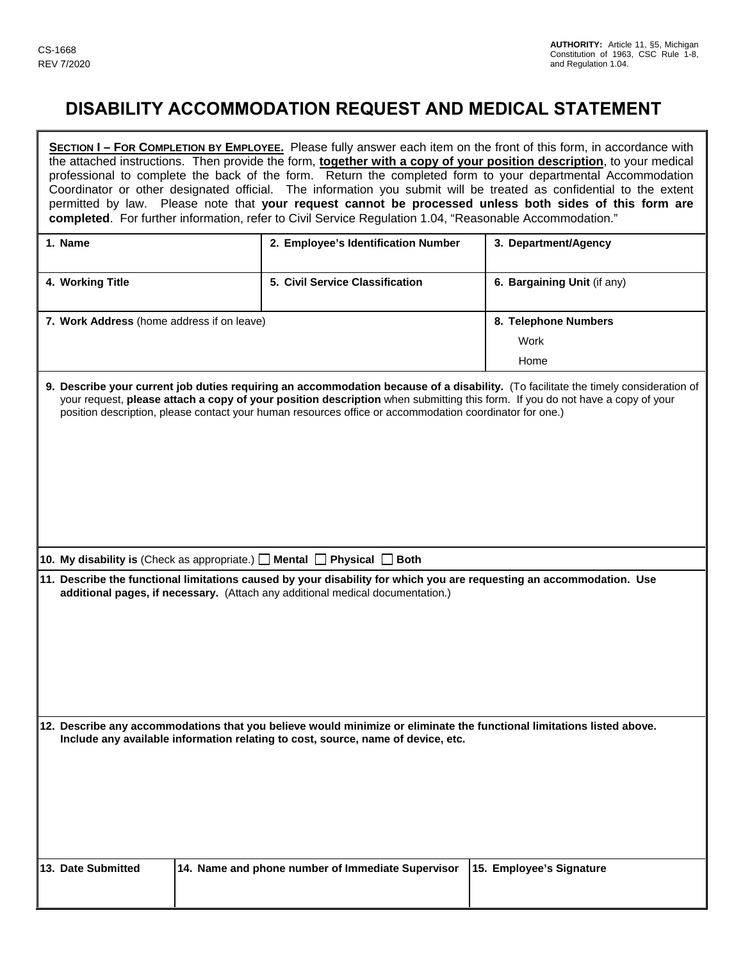I

## **DISABILITY ACCOMMODATION REQUEST AND MEDICAL STATEMENT**

|                                                                                                                                                                                                                                                                                                                                                                               |  | completed. For further information, refer to Civil Service Regulation 1.04, "Reasonable Accommodation."                                                                                                | SECTION I - FOR COMPLETION BY EMPLOYEE. Please fully answer each item on the front of this form, in accordance with<br>the attached instructions. Then provide the form, together with a copy of your position description, to your medical<br>professional to complete the back of the form. Return the completed form to your departmental Accommodation<br>Coordinator or other designated official. The information you submit will be treated as confidential to the extent<br>permitted by law. Please note that your request cannot be processed unless both sides of this form are |  |
|-------------------------------------------------------------------------------------------------------------------------------------------------------------------------------------------------------------------------------------------------------------------------------------------------------------------------------------------------------------------------------|--|--------------------------------------------------------------------------------------------------------------------------------------------------------------------------------------------------------|--------------------------------------------------------------------------------------------------------------------------------------------------------------------------------------------------------------------------------------------------------------------------------------------------------------------------------------------------------------------------------------------------------------------------------------------------------------------------------------------------------------------------------------------------------------------------------------------|--|
| 1. Name                                                                                                                                                                                                                                                                                                                                                                       |  | 2. Employee's Identification Number                                                                                                                                                                    | 3. Department/Agency                                                                                                                                                                                                                                                                                                                                                                                                                                                                                                                                                                       |  |
| 4. Working Title                                                                                                                                                                                                                                                                                                                                                              |  | 5. Civil Service Classification                                                                                                                                                                        | 6. Bargaining Unit (if any)                                                                                                                                                                                                                                                                                                                                                                                                                                                                                                                                                                |  |
| 7. Work Address (home address if on leave)                                                                                                                                                                                                                                                                                                                                    |  |                                                                                                                                                                                                        | 8. Telephone Numbers<br>Work<br>Home                                                                                                                                                                                                                                                                                                                                                                                                                                                                                                                                                       |  |
| 9. Describe your current job duties requiring an accommodation because of a disability. (To facilitate the timely consideration of<br>your request, please attach a copy of your position description when submitting this form. If you do not have a copy of your<br>position description, please contact your human resources office or accommodation coordinator for one.) |  |                                                                                                                                                                                                        |                                                                                                                                                                                                                                                                                                                                                                                                                                                                                                                                                                                            |  |
|                                                                                                                                                                                                                                                                                                                                                                               |  | 10. My disability is (Check as appropriate.) $\Box$ Mental $\Box$ Physical $\Box$ Both                                                                                                                 |                                                                                                                                                                                                                                                                                                                                                                                                                                                                                                                                                                                            |  |
|                                                                                                                                                                                                                                                                                                                                                                               |  | 11. Describe the functional limitations caused by your disability for which you are requesting an accommodation. Use<br>additional pages, if necessary. (Attach any additional medical documentation.) |                                                                                                                                                                                                                                                                                                                                                                                                                                                                                                                                                                                            |  |
| 12. Describe any accommodations that you believe would minimize or eliminate the functional limitations listed above.<br>Include any available information relating to cost, source, name of device, etc.                                                                                                                                                                     |  |                                                                                                                                                                                                        |                                                                                                                                                                                                                                                                                                                                                                                                                                                                                                                                                                                            |  |
| 13. Date Submitted                                                                                                                                                                                                                                                                                                                                                            |  | 14. Name and phone number of Immediate Supervisor                                                                                                                                                      | 15. Employee's Signature                                                                                                                                                                                                                                                                                                                                                                                                                                                                                                                                                                   |  |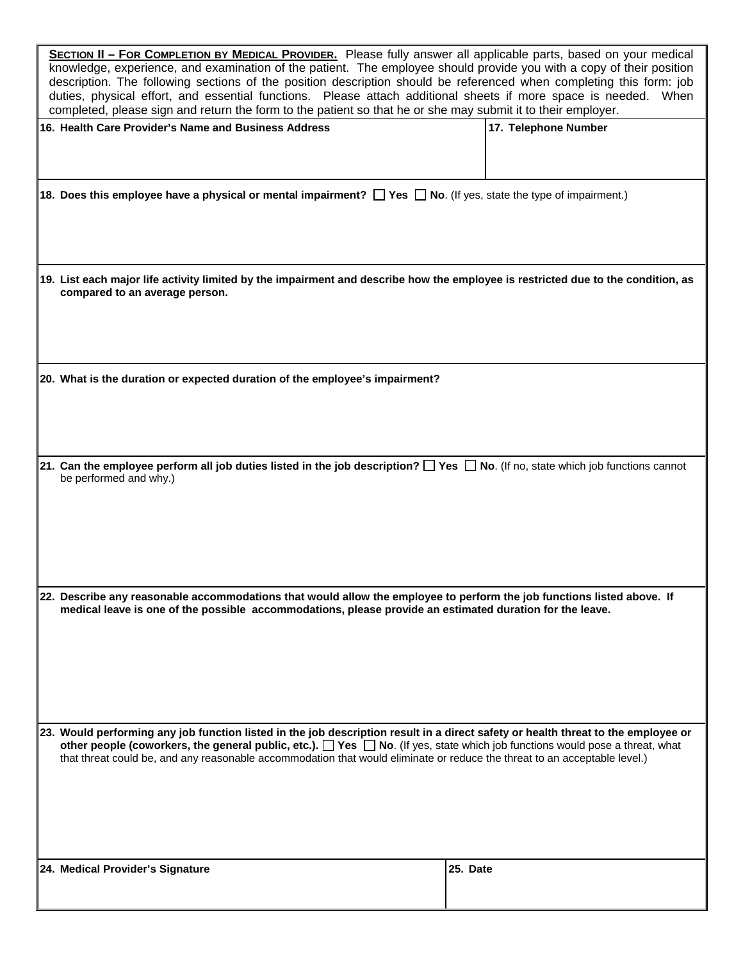| <b>SECTION II - FOR COMPLETION BY MEDICAL PROVIDER.</b> Please fully answer all applicable parts, based on your medical<br>knowledge, experience, and examination of the patient. The employee should provide you with a copy of their position<br>description. The following sections of the position description should be referenced when completing this form: job<br>duties, physical effort, and essential functions. Please attach additional sheets if more space is needed. When<br>completed, please sign and return the form to the patient so that he or she may submit it to their employer. |                      |  |  |
|-----------------------------------------------------------------------------------------------------------------------------------------------------------------------------------------------------------------------------------------------------------------------------------------------------------------------------------------------------------------------------------------------------------------------------------------------------------------------------------------------------------------------------------------------------------------------------------------------------------|----------------------|--|--|
| 16. Health Care Provider's Name and Business Address                                                                                                                                                                                                                                                                                                                                                                                                                                                                                                                                                      | 17. Telephone Number |  |  |
|                                                                                                                                                                                                                                                                                                                                                                                                                                                                                                                                                                                                           |                      |  |  |
| 18. Does this employee have a physical or mental impairment? The Sand No. (If yes, state the type of impairment.)                                                                                                                                                                                                                                                                                                                                                                                                                                                                                         |                      |  |  |
|                                                                                                                                                                                                                                                                                                                                                                                                                                                                                                                                                                                                           |                      |  |  |
| 19. List each major life activity limited by the impairment and describe how the employee is restricted due to the condition, as<br>compared to an average person.                                                                                                                                                                                                                                                                                                                                                                                                                                        |                      |  |  |
|                                                                                                                                                                                                                                                                                                                                                                                                                                                                                                                                                                                                           |                      |  |  |
| 20. What is the duration or expected duration of the employee's impairment?                                                                                                                                                                                                                                                                                                                                                                                                                                                                                                                               |                      |  |  |
|                                                                                                                                                                                                                                                                                                                                                                                                                                                                                                                                                                                                           |                      |  |  |
| 21. Can the employee perform all job duties listed in the job description? $\Box$ Yes $\Box$ No. (If no, state which job functions cannot<br>be performed and why.)                                                                                                                                                                                                                                                                                                                                                                                                                                       |                      |  |  |
|                                                                                                                                                                                                                                                                                                                                                                                                                                                                                                                                                                                                           |                      |  |  |
|                                                                                                                                                                                                                                                                                                                                                                                                                                                                                                                                                                                                           |                      |  |  |
| 22. Describe any reasonable accommodations that would allow the employee to perform the job functions listed above. If<br>medical leave is one of the possible accommodations, please provide an estimated duration for the leave.                                                                                                                                                                                                                                                                                                                                                                        |                      |  |  |
|                                                                                                                                                                                                                                                                                                                                                                                                                                                                                                                                                                                                           |                      |  |  |
|                                                                                                                                                                                                                                                                                                                                                                                                                                                                                                                                                                                                           |                      |  |  |
| 23. Would performing any job function listed in the job description result in a direct safety or health threat to the employee or<br>other people (coworkers, the general public, etc.). $\Box$ Yes $\Box$ No. (If yes, state which job functions would pose a threat, what<br>that threat could be, and any reasonable accommodation that would eliminate or reduce the threat to an acceptable level.)                                                                                                                                                                                                  |                      |  |  |
|                                                                                                                                                                                                                                                                                                                                                                                                                                                                                                                                                                                                           |                      |  |  |
|                                                                                                                                                                                                                                                                                                                                                                                                                                                                                                                                                                                                           |                      |  |  |
| 24. Medical Provider's Signature                                                                                                                                                                                                                                                                                                                                                                                                                                                                                                                                                                          | 25. Date             |  |  |